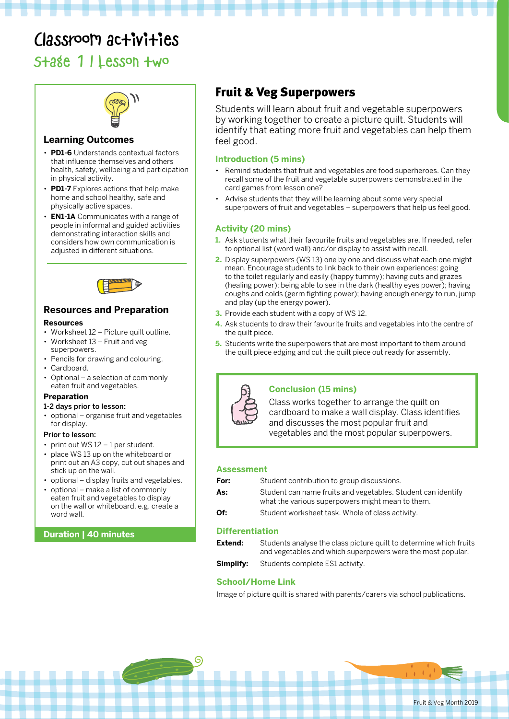# Classroom activities

# Stage 1 | Lesson two



# **Learning Outcomes**

- **PD1-6** Understands contextual factors that influence themselves and others health, safety, wellbeing and participation in physical activity.
- **PD1-7** Explores actions that help make home and school healthy, safe and physically active spaces.
- **EN1-1A** Communicates with a range of people in informal and guided activities demonstrating interaction skills and considers how own communication is adjusted in different situations.



# **Resources and Preparation**

#### **Resources**

- Worksheet 12 Picture quilt outline.
- Worksheet 13 Fruit and veg superpowers.
- Pencils for drawing and colouring.
- Cardboard.
- Optional a selection of commonly eaten fruit and vegetables.

#### **Preparation**

#### 1-2 days prior to lesson:

• optional – organise fruit and vegetables for display.

#### Prior to lesson:

- print out WS 12 1 per student.
- place WS 13 up on the whiteboard or print out an A3 copy, cut out shapes and stick up on the wall.
- optional display fruits and vegetables.
- optional make a list of commonly eaten fruit and vegetables to display on the wall or whiteboard, e.g. create a word wall.

#### **Duration | 40 minutes**

# Fruit & Veg Superpowers

Students will learn about fruit and vegetable superpowers by working together to create a picture quilt. Students will identify that eating more fruit and vegetables can help them feel good.

### **Introduction (5 mins)**

- Remind students that fruit and vegetables are food superheroes. Can they recall some of the fruit and vegetable superpowers demonstrated in the card games from lesson one?
- Advise students that they will be learning about some very special superpowers of fruit and vegetables – superpowers that help us feel good.

#### **Activity (20 mins)**

- **1.** Ask students what their favourite fruits and vegetables are. If needed, refer to optional list (word wall) and/or display to assist with recall.
- **2.** Display superpowers (WS 13) one by one and discuss what each one might mean. Encourage students to link back to their own experiences: going to the toilet regularly and easily (happy tummy); having cuts and grazes (healing power); being able to see in the dark (healthy eyes power); having coughs and colds (germ fighting power); having enough energy to run, jump and play (up the energy power).
- **3.** Provide each student with a copy of WS 12.
- **4.** Ask students to draw their favourite fruits and vegetables into the centre of the quilt piece.
- **5.** Students write the superpowers that are most important to them around the quilt piece edging and cut the quilt piece out ready for assembly.



#### **Conclusion (15 mins)**

Class works together to arrange the quilt on cardboard to make a wall display. Class identifies and discusses the most popular fruit and vegetables and the most popular superpowers.

#### **Assessment**

| For: | Student contribution to group discussions.          |
|------|-----------------------------------------------------|
| As:  | Student can name fruits and vegetables. Student can |

- an identify: what the various superpowers might mean to them.
- **Of:** Student worksheet task. Whole of class activity.

## **Differentiation**

| Extend:   | Students analyse the class picture quilt to determine which fruits<br>and vegetables and which superpowers were the most popular. |
|-----------|-----------------------------------------------------------------------------------------------------------------------------------|
|           |                                                                                                                                   |
| Simplify: | Students complete ES1 activity.                                                                                                   |

## **School/Home Link**

G

Image of picture quilt is shared with parents/carers via school publications.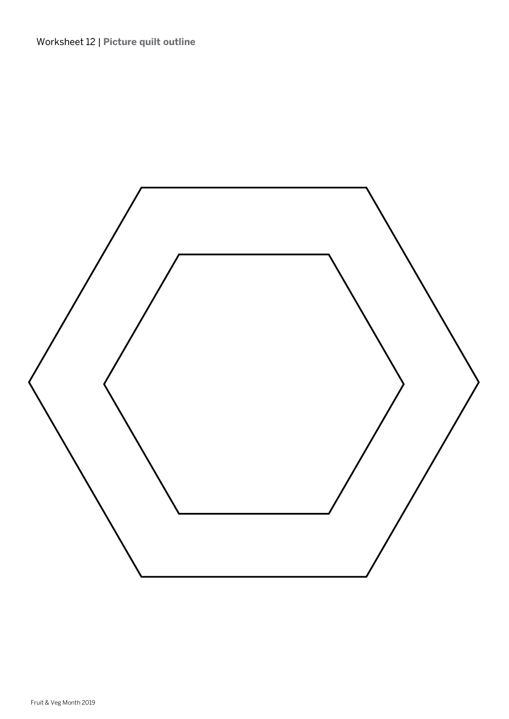